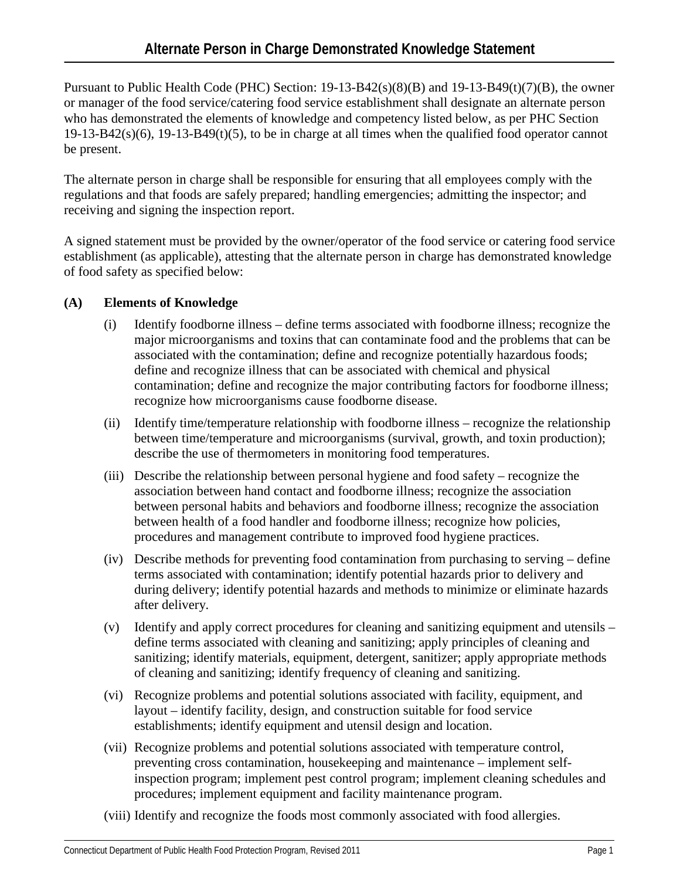Pursuant to Public Health Code (PHC) Section: 19-13-B42(s)(8)(B) and 19-13-B49(t)(7)(B), the owner or manager of the food service/catering food service establishment shall designate an alternate person who has demonstrated the elements of knowledge and competency listed below, as per PHC Section  $19-13-B42(s)(6)$ ,  $19-13-B49(t)(5)$ , to be in charge at all times when the qualified food operator cannot be present.

The alternate person in charge shall be responsible for ensuring that all employees comply with the regulations and that foods are safely prepared; handling emergencies; admitting the inspector; and receiving and signing the inspection report.

A signed statement must be provided by the owner/operator of the food service or catering food service establishment (as applicable), attesting that the alternate person in charge has demonstrated knowledge of food safety as specified below:

## **(A) Elements of Knowledge**

- (i) Identify foodborne illness define terms associated with foodborne illness; recognize the major microorganisms and toxins that can contaminate food and the problems that can be associated with the contamination; define and recognize potentially hazardous foods; define and recognize illness that can be associated with chemical and physical contamination; define and recognize the major contributing factors for foodborne illness; recognize how microorganisms cause foodborne disease.
- (ii) Identify time/temperature relationship with foodborne illness recognize the relationship between time/temperature and microorganisms (survival, growth, and toxin production); describe the use of thermometers in monitoring food temperatures.
- (iii) Describe the relationship between personal hygiene and food safety recognize the association between hand contact and foodborne illness; recognize the association between personal habits and behaviors and foodborne illness; recognize the association between health of a food handler and foodborne illness; recognize how policies, procedures and management contribute to improved food hygiene practices.
- (iv) Describe methods for preventing food contamination from purchasing to serving define terms associated with contamination; identify potential hazards prior to delivery and during delivery; identify potential hazards and methods to minimize or eliminate hazards after delivery.
- (v) Identify and apply correct procedures for cleaning and sanitizing equipment and utensils define terms associated with cleaning and sanitizing; apply principles of cleaning and sanitizing; identify materials, equipment, detergent, sanitizer; apply appropriate methods of cleaning and sanitizing; identify frequency of cleaning and sanitizing.
- (vi) Recognize problems and potential solutions associated with facility, equipment, and layout – identify facility, design, and construction suitable for food service establishments; identify equipment and utensil design and location.
- (vii) Recognize problems and potential solutions associated with temperature control, preventing cross contamination, housekeeping and maintenance – implement selfinspection program; implement pest control program; implement cleaning schedules and procedures; implement equipment and facility maintenance program.
- (viii) Identify and recognize the foods most commonly associated with food allergies.